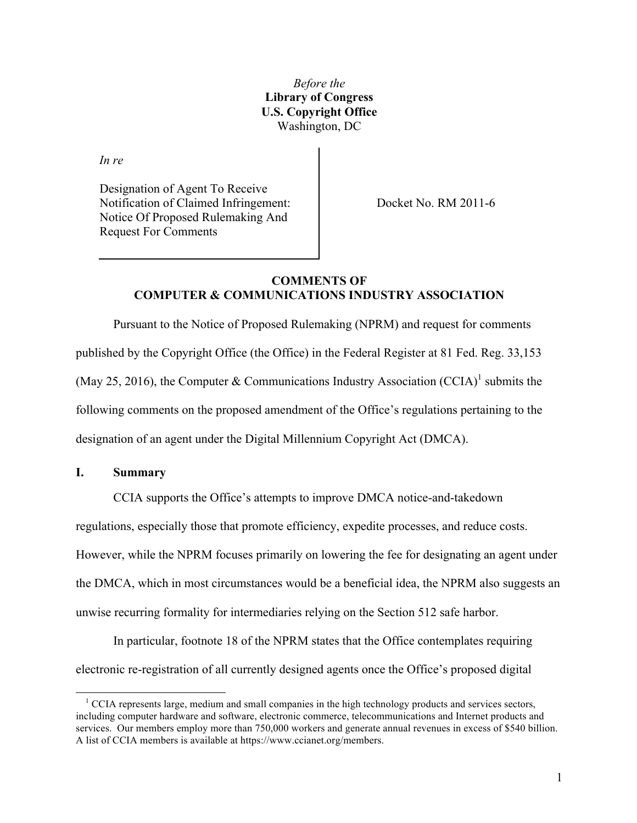*Before the* **Library of Congress U.S. Copyright Office** Washington, DC

*In re*

Designation of Agent To Receive Notification of Claimed Infringement: Notice Of Proposed Rulemaking And Request For Comments

Docket No. RM 2011-6

# **COMMENTS OF COMPUTER & COMMUNICATIONS INDUSTRY ASSOCIATION**

Pursuant to the Notice of Proposed Rulemaking (NPRM) and request for comments published by the Copyright Office (the Office) in the Federal Register at 81 Fed. Reg. 33,153 (May 25, 2016), the Computer & Communications Industry Association (CCIA)<sup>1</sup> submits the following comments on the proposed amendment of the Office's regulations pertaining to the designation of an agent under the Digital Millennium Copyright Act (DMCA).

#### **I. Summary**

CCIA supports the Office's attempts to improve DMCA notice-and-takedown

regulations, especially those that promote efficiency, expedite processes, and reduce costs.

However, while the NPRM focuses primarily on lowering the fee for designating an agent under

the DMCA, which in most circumstances would be a beneficial idea, the NPRM also suggests an

unwise recurring formality for intermediaries relying on the Section 512 safe harbor.

In particular, footnote 18 of the NPRM states that the Office contemplates requiring electronic re-registration of all currently designed agents once the Office's proposed digital

 $1$  CCIA represents large, medium and small companies in the high technology products and services sectors, including computer hardware and software, electronic commerce, telecommunications and Internet products and services. Our members employ more than 750,000 workers and generate annual revenues in excess of \$540 billion. A list of CCIA members is available at https://www.ccianet.org/members.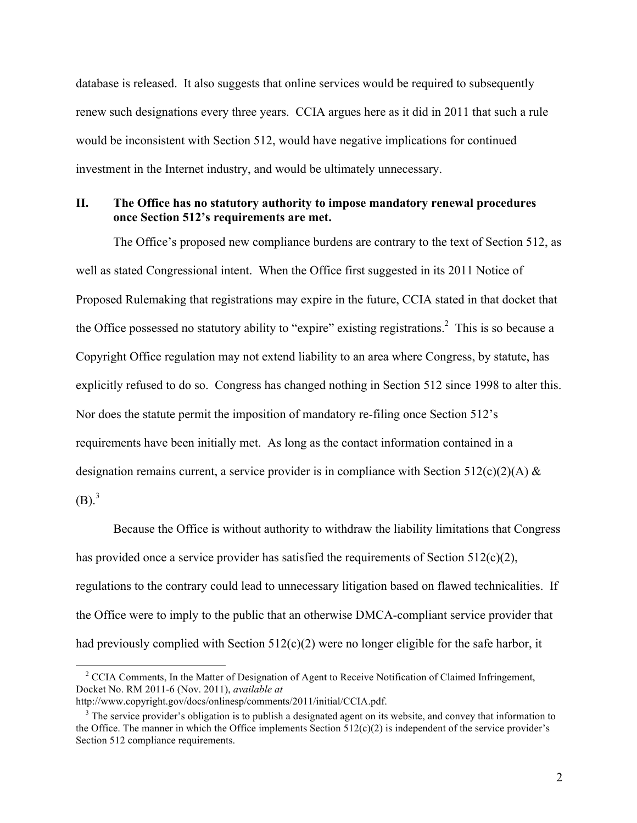database is released. It also suggests that online services would be required to subsequently renew such designations every three years. CCIA argues here as it did in 2011 that such a rule would be inconsistent with Section 512, would have negative implications for continued investment in the Internet industry, and would be ultimately unnecessary.

## **II. The Office has no statutory authority to impose mandatory renewal procedures once Section 512's requirements are met.**

The Office's proposed new compliance burdens are contrary to the text of Section 512, as well as stated Congressional intent. When the Office first suggested in its 2011 Notice of Proposed Rulemaking that registrations may expire in the future, CCIA stated in that docket that the Office possessed no statutory ability to "expire" existing registrations.<sup>2</sup> This is so because a Copyright Office regulation may not extend liability to an area where Congress, by statute, has explicitly refused to do so. Congress has changed nothing in Section 512 since 1998 to alter this. Nor does the statute permit the imposition of mandatory re-filing once Section 512's requirements have been initially met. As long as the contact information contained in a designation remains current, a service provider is in compliance with Section 512(c)(2)(A)  $\&$  $(B)$ .<sup>3</sup>

Because the Office is without authority to withdraw the liability limitations that Congress has provided once a service provider has satisfied the requirements of Section 512(c)(2), regulations to the contrary could lead to unnecessary litigation based on flawed technicalities. If the Office were to imply to the public that an otherwise DMCA-compliant service provider that had previously complied with Section 512(c)(2) were no longer eligible for the safe harbor, it

<sup>&</sup>lt;sup>2</sup> CCIA Comments, In the Matter of Designation of Agent to Receive Notification of Claimed Infringement, Docket No. RM 2011-6 (Nov. 2011), *available at*

http://www.copyright.gov/docs/onlinesp/comments/2011/initial/CCIA.pdf.

<sup>&</sup>lt;sup>3</sup> The service provider's obligation is to publish a designated agent on its website, and convey that information to the Office. The manner in which the Office implements Section  $512(c)(2)$  is independent of the service provider's Section 512 compliance requirements.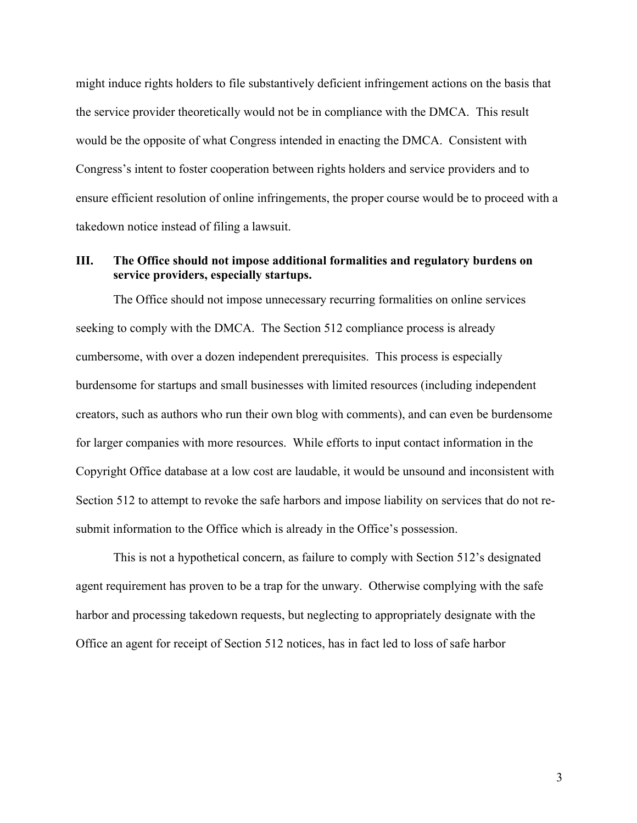might induce rights holders to file substantively deficient infringement actions on the basis that the service provider theoretically would not be in compliance with the DMCA. This result would be the opposite of what Congress intended in enacting the DMCA. Consistent with Congress's intent to foster cooperation between rights holders and service providers and to ensure efficient resolution of online infringements, the proper course would be to proceed with a takedown notice instead of filing a lawsuit.

## **III. The Office should not impose additional formalities and regulatory burdens on service providers, especially startups.**

The Office should not impose unnecessary recurring formalities on online services seeking to comply with the DMCA. The Section 512 compliance process is already cumbersome, with over a dozen independent prerequisites. This process is especially burdensome for startups and small businesses with limited resources (including independent creators, such as authors who run their own blog with comments), and can even be burdensome for larger companies with more resources. While efforts to input contact information in the Copyright Office database at a low cost are laudable, it would be unsound and inconsistent with Section 512 to attempt to revoke the safe harbors and impose liability on services that do not resubmit information to the Office which is already in the Office's possession.

This is not a hypothetical concern, as failure to comply with Section 512's designated agent requirement has proven to be a trap for the unwary. Otherwise complying with the safe harbor and processing takedown requests, but neglecting to appropriately designate with the Office an agent for receipt of Section 512 notices, has in fact led to loss of safe harbor

3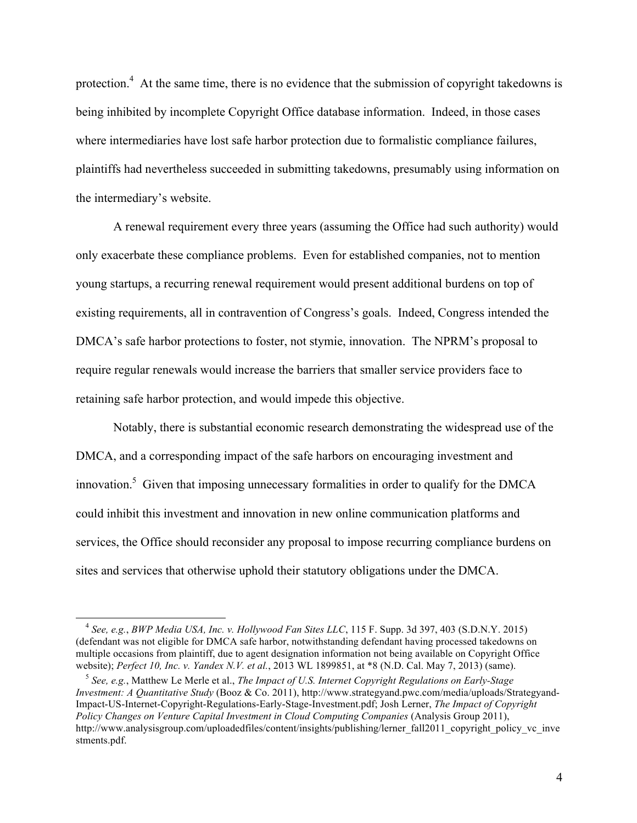protection.<sup>4</sup> At the same time, there is no evidence that the submission of copyright takedowns is being inhibited by incomplete Copyright Office database information. Indeed, in those cases where intermediaries have lost safe harbor protection due to formalistic compliance failures, plaintiffs had nevertheless succeeded in submitting takedowns, presumably using information on the intermediary's website.

A renewal requirement every three years (assuming the Office had such authority) would only exacerbate these compliance problems. Even for established companies, not to mention young startups, a recurring renewal requirement would present additional burdens on top of existing requirements, all in contravention of Congress's goals. Indeed, Congress intended the DMCA's safe harbor protections to foster, not stymie, innovation. The NPRM's proposal to require regular renewals would increase the barriers that smaller service providers face to retaining safe harbor protection, and would impede this objective.

Notably, there is substantial economic research demonstrating the widespread use of the DMCA, and a corresponding impact of the safe harbors on encouraging investment and innovation.<sup>5</sup> Given that imposing unnecessary formalities in order to qualify for the DMCA could inhibit this investment and innovation in new online communication platforms and services, the Office should reconsider any proposal to impose recurring compliance burdens on sites and services that otherwise uphold their statutory obligations under the DMCA.

<sup>4</sup> *See, e.g.*, *BWP Media USA, Inc. v. Hollywood Fan Sites LLC*, 115 F. Supp. 3d 397, 403 (S.D.N.Y. 2015) (defendant was not eligible for DMCA safe harbor, notwithstanding defendant having processed takedowns on multiple occasions from plaintiff, due to agent designation information not being available on Copyright Office website); *Perfect 10, Inc. v. Yandex N.V. et al.*, 2013 WL 1899851, at \*8 (N.D. Cal. May 7, 2013) (same).

<sup>5</sup> *See, e.g.*, Matthew Le Merle et al., *The Impact of U.S. Internet Copyright Regulations on Early-Stage Investment: A Quantitative Study* (Booz & Co. 2011), http://www.strategyand.pwc.com/media/uploads/Strategyand-Impact-US-Internet-Copyright-Regulations-Early-Stage-Investment.pdf; Josh Lerner, *The Impact of Copyright Policy Changes on Venture Capital Investment in Cloud Computing Companies* (Analysis Group 2011), http://www.analysisgroup.com/uploadedfiles/content/insights/publishing/lerner\_fall2011\_copyright\_policy\_vc\_inve stments.pdf.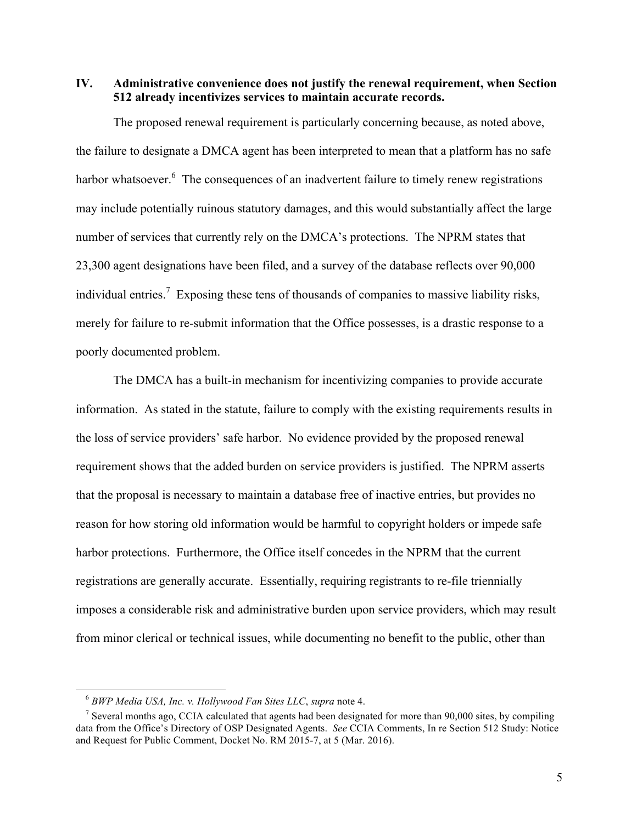**IV. Administrative convenience does not justify the renewal requirement, when Section 512 already incentivizes services to maintain accurate records.**

The proposed renewal requirement is particularly concerning because, as noted above, the failure to designate a DMCA agent has been interpreted to mean that a platform has no safe harbor whatsoever. <sup>6</sup> The consequences of an inadvertent failure to timely renew registrations may include potentially ruinous statutory damages, and this would substantially affect the large number of services that currently rely on the DMCA's protections. The NPRM states that 23,300 agent designations have been filed, and a survey of the database reflects over 90,000 individual entries.<sup>7</sup> Exposing these tens of thousands of companies to massive liability risks, merely for failure to re-submit information that the Office possesses, is a drastic response to a poorly documented problem.

The DMCA has a built-in mechanism for incentivizing companies to provide accurate information. As stated in the statute, failure to comply with the existing requirements results in the loss of service providers' safe harbor. No evidence provided by the proposed renewal requirement shows that the added burden on service providers is justified. The NPRM asserts that the proposal is necessary to maintain a database free of inactive entries, but provides no reason for how storing old information would be harmful to copyright holders or impede safe harbor protections. Furthermore, the Office itself concedes in the NPRM that the current registrations are generally accurate. Essentially, requiring registrants to re-file triennially imposes a considerable risk and administrative burden upon service providers, which may result from minor clerical or technical issues, while documenting no benefit to the public, other than

<sup>6</sup> *BWP Media USA, Inc. v. Hollywood Fan Sites LLC*, *supra* note 4.

<sup>&</sup>lt;sup>7</sup> Several months ago, CCIA calculated that agents had been designated for more than 90,000 sites, by compiling data from the Office's Directory of OSP Designated Agents. *See* CCIA Comments, In re Section 512 Study: Notice and Request for Public Comment, Docket No. RM 2015-7, at 5 (Mar. 2016).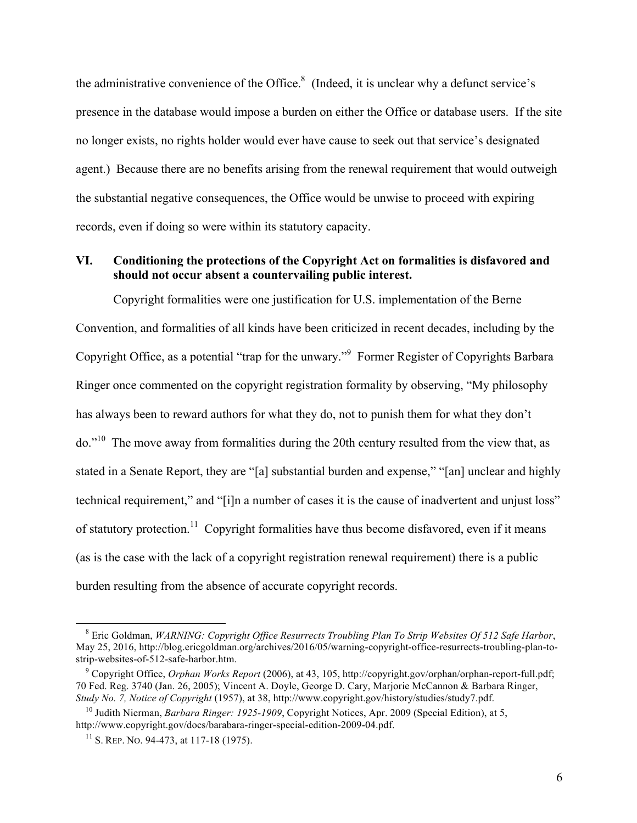the administrative convenience of the Office. $8 \text{ (Indeed, it is unclear why a defunct service's})$ presence in the database would impose a burden on either the Office or database users. If the site no longer exists, no rights holder would ever have cause to seek out that service's designated agent.) Because there are no benefits arising from the renewal requirement that would outweigh the substantial negative consequences, the Office would be unwise to proceed with expiring records, even if doing so were within its statutory capacity.

## **VI. Conditioning the protections of the Copyright Act on formalities is disfavored and should not occur absent a countervailing public interest.**

Copyright formalities were one justification for U.S. implementation of the Berne Convention, and formalities of all kinds have been criticized in recent decades, including by the Copyright Office, as a potential "trap for the unwary."<sup>9</sup> Former Register of Copyrights Barbara Ringer once commented on the copyright registration formality by observing, "My philosophy has always been to reward authors for what they do, not to punish them for what they don't do."10 The move away from formalities during the 20th century resulted from the view that, as stated in a Senate Report, they are "[a] substantial burden and expense," "[an] unclear and highly technical requirement," and "[i]n a number of cases it is the cause of inadvertent and unjust loss" of statutory protection.<sup>11</sup> Copyright formalities have thus become disfavored, even if it means (as is the case with the lack of a copyright registration renewal requirement) there is a public burden resulting from the absence of accurate copyright records.

<sup>8</sup> Eric Goldman, *WARNING: Copyright Office Resurrects Troubling Plan To Strip Websites Of 512 Safe Harbor*, May 25, 2016, http://blog.ericgoldman.org/archives/2016/05/warning-copyright-office-resurrects-troubling-plan-tostrip-websites-of-512-safe-harbor.htm.

<sup>9</sup> Copyright Office, *Orphan Works Report* (2006), at 43, 105, http://copyright.gov/orphan/orphan-report-full.pdf; 70 Fed. Reg. 3740 (Jan. 26, 2005); Vincent A. Doyle, George D. Cary, Marjorie McCannon & Barbara Ringer, *Study No. 7, Notice of Copyright* (1957), at 38, http://www.copyright.gov/history/studies/study7.pdf.

<sup>10</sup> Judith Nierman, *Barbara Ringer: 1925-1909*, Copyright Notices, Apr. 2009 (Special Edition), at 5, http://www.copyright.gov/docs/barabara-ringer-special-edition-2009-04.pdf.

 $11$  S. REP. No. 94-473, at 117-18 (1975).